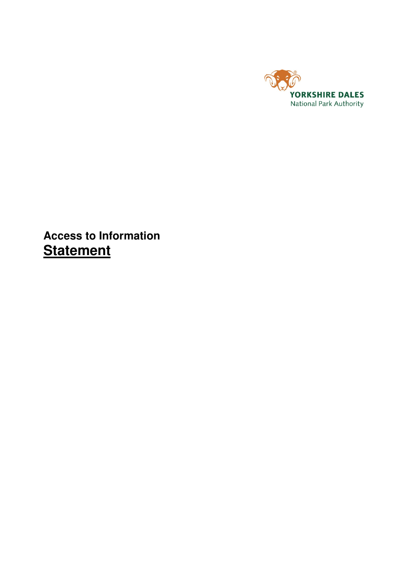

# **Access to Information Statement**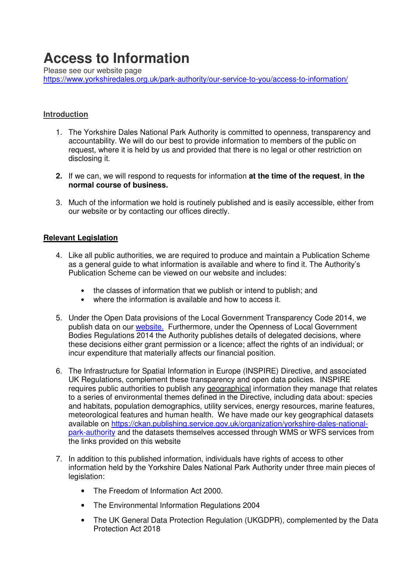# **Access to Information**

Please see our website page

https://www.yorkshiredales.org.uk/park-authority/our-service-to-you/access-to-information/

# **Introduction**

- 1. The Yorkshire Dales National Park Authority is committed to openness, transparency and accountability. We will do our best to provide information to members of the public on request, where it is held by us and provided that there is no legal or other restriction on disclosing it.
- **2.** If we can, we will respond to requests for information **at the time of the request**, **in the normal course of business.**
- 3. Much of the information we hold is routinely published and is easily accessible, either from our website or by contacting our offices directly.

#### **Relevant Legislation**

- 4. Like all public authorities, we are required to produce and maintain a Publication Scheme as a general guide to what information is available and where to find it. The Authority's Publication Scheme can be viewed on our website and includes:
	- the classes of information that we publish or intend to publish; and
	- where the information is available and how to access it.
- 5. Under the Open Data provisions of the Local Government Transparency Code 2014, we publish data on our website. Furthermore, under the Openness of Local Government Bodies Regulations 2014 the Authority publishes details of delegated decisions, where these decisions either grant permission or a licence; affect the rights of an individual; or incur expenditure that materially affects our financial position.
- 6. The Infrastructure for Spatial Information in Europe (INSPIRE) Directive, and associated UK Regulations, complement these transparency and open data policies. INSPIRE requires public authorities to publish any geographical information they manage that relates to a series of environmental themes defined in the Directive, including data about: species and habitats, population demographics, utility services, energy resources, marine features, meteorological features and human health. We have made our key geographical datasets available on https://ckan.publishing.service.gov.uk/organization/yorkshire-dales-nationalpark-authority and the datasets themselves accessed through WMS or WFS services from the links provided on this website
- 7. In addition to this published information, individuals have rights of access to other information held by the Yorkshire Dales National Park Authority under three main pieces of legislation:
	- The Freedom of Information Act 2000.
	- The Environmental Information Regulations 2004
	- The UK General Data Protection Regulation (UKGDPR), complemented by the Data Protection Act 2018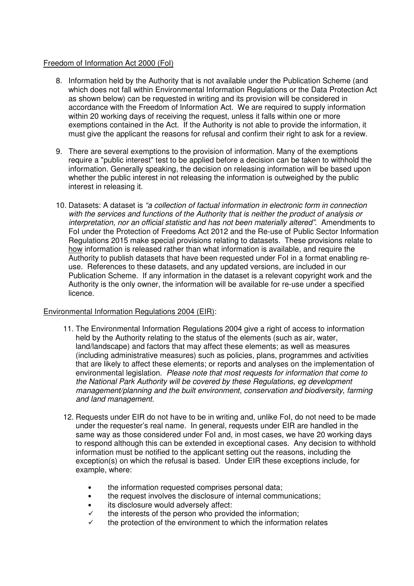# Freedom of Information Act 2000 (FoI)

- 8. Information held by the Authority that is not available under the Publication Scheme (and which does not fall within Environmental Information Regulations or the Data Protection Act as shown below) can be requested in writing and its provision will be considered in accordance with the Freedom of Information Act. We are required to supply information within 20 working days of receiving the request, unless it falls within one or more exemptions contained in the Act. If the Authority is not able to provide the information, it must give the applicant the reasons for refusal and confirm their right to ask for a review.
- 9. There are several exemptions to the provision of information. Many of the exemptions require a "public interest" test to be applied before a decision can be taken to withhold the information. Generally speaking, the decision on releasing information will be based upon whether the public interest in not releasing the information is outweighed by the public interest in releasing it.
- 10. Datasets: A dataset is "a collection of factual information in electronic form in connection with the services and functions of the Authority that is neither the product of analysis or interpretation, nor an official statistic and has not been materially altered". Amendments to FoI under the Protection of Freedoms Act 2012 and the Re-use of Public Sector Information Regulations 2015 make special provisions relating to datasets. These provisions relate to how information is released rather than what information is available, and require the Authority to publish datasets that have been requested under FoI in a format enabling reuse. References to these datasets, and any updated versions, are included in our Publication Scheme. If any information in the dataset is a relevant copyright work and the Authority is the only owner, the information will be available for re-use under a specified licence.

#### Environmental Information Regulations 2004 (EIR):

- 11. The Environmental Information Regulations 2004 give a right of access to information held by the Authority relating to the status of the elements (such as air, water, land/landscape) and factors that may affect these elements; as well as measures (including administrative measures) such as policies, plans, programmes and activities that are likely to affect these elements; or reports and analyses on the implementation of environmental legislation. Please note that most requests for information that come to the National Park Authority will be covered by these Regulations, eg development management/planning and the built environment, conservation and biodiversity, farming and land management.
- 12. Requests under EIR do not have to be in writing and, unlike FoI, do not need to be made under the requester's real name. In general, requests under EIR are handled in the same way as those considered under FoI and, in most cases, we have 20 working days to respond although this can be extended in exceptional cases. Any decision to withhold information must be notified to the applicant setting out the reasons, including the exception(s) on which the refusal is based. Under EIR these exceptions include, for example, where:
	- the information requested comprises personal data;
	- the request involves the disclosure of internal communications;
	- its disclosure would adversely affect:
	- $\checkmark$  the interests of the person who provided the information;
	- the protection of the environment to which the information relates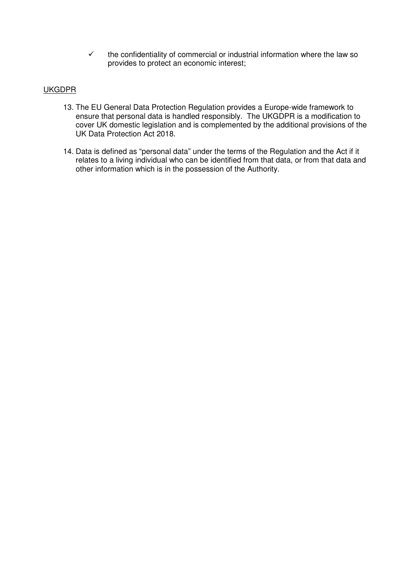$\checkmark$  the confidentiality of commercial or industrial information where the law so provides to protect an economic interest;

# UKGDPR

- 13. The EU General Data Protection Regulation provides a Europe-wide framework to ensure that personal data is handled responsibly. The UKGDPR is a modification to cover UK domestic legislation and is complemented by the additional provisions of the UK Data Protection Act 2018.
- 14. Data is defined as "personal data" under the terms of the Regulation and the Act if it relates to a living individual who can be identified from that data, or from that data and other information which is in the possession of the Authority.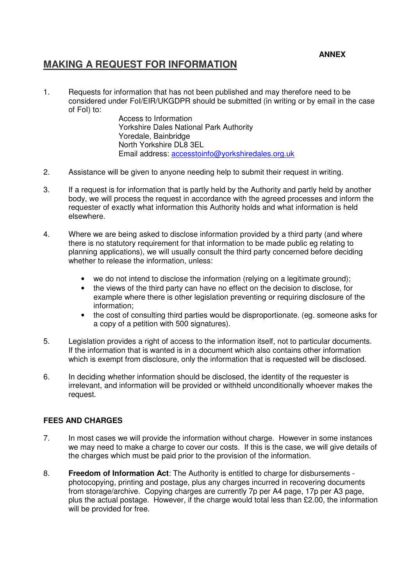# **ANNEX**

# **MAKING A REQUEST FOR INFORMATION**

1. Requests for information that has not been published and may therefore need to be considered under FoI/EIR/UKGDPR should be submitted (in writing or by email in the case of FoI) to:

Access to Information Yorkshire Dales National Park Authority Yoredale, Bainbridge North Yorkshire DL8 3EL Email address: accesstoinfo@yorkshiredales.org.uk

- 2. Assistance will be given to anyone needing help to submit their request in writing.
- 3. If a request is for information that is partly held by the Authority and partly held by another body, we will process the request in accordance with the agreed processes and inform the requester of exactly what information this Authority holds and what information is held elsewhere.
- 4. Where we are being asked to disclose information provided by a third party (and where there is no statutory requirement for that information to be made public eg relating to planning applications), we will usually consult the third party concerned before deciding whether to release the information, unless:
	- we do not intend to disclose the information (relying on a legitimate ground):
	- the views of the third party can have no effect on the decision to disclose, for example where there is other legislation preventing or requiring disclosure of the information;
	- the cost of consulting third parties would be disproportionate. (eg. someone asks for a copy of a petition with 500 signatures).
- 5. Legislation provides a right of access to the information itself, not to particular documents. If the information that is wanted is in a document which also contains other information which is exempt from disclosure, only the information that is requested will be disclosed.
- 6. In deciding whether information should be disclosed, the identity of the requester is irrelevant, and information will be provided or withheld unconditionally whoever makes the request.

#### **FEES AND CHARGES**

- 7. In most cases we will provide the information without charge. However in some instances we may need to make a charge to cover our costs. If this is the case, we will give details of the charges which must be paid prior to the provision of the information.
- 8. **Freedom of Information Act**: The Authority is entitled to charge for disbursements photocopying, printing and postage, plus any charges incurred in recovering documents from storage/archive. Copying charges are currently 7p per A4 page, 17p per A3 page, plus the actual postage. However, if the charge would total less than £2.00, the information will be provided for free.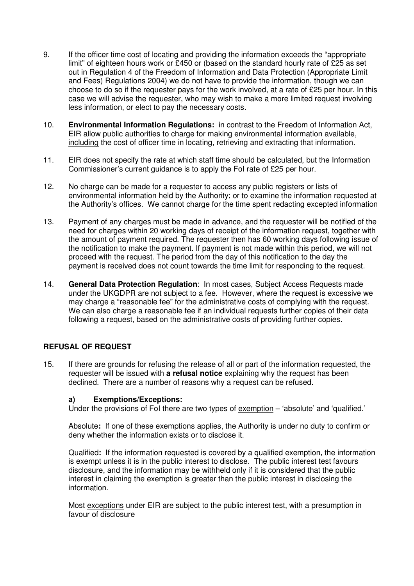- 9. If the officer time cost of locating and providing the information exceeds the "appropriate limit" of eighteen hours work or £450 or (based on the standard hourly rate of £25 as set out in Regulation 4 of the Freedom of Information and Data Protection (Appropriate Limit and Fees) Regulations 2004) we do not have to provide the information, though we can choose to do so if the requester pays for the work involved, at a rate of £25 per hour. In this case we will advise the requester, who may wish to make a more limited request involving less information, or elect to pay the necessary costs.
- 10. **Environmental Information Regulations:** in contrast to the Freedom of Information Act, EIR allow public authorities to charge for making environmental information available, including the cost of officer time in locating, retrieving and extracting that information.
- 11. EIR does not specify the rate at which staff time should be calculated, but the Information Commissioner's current guidance is to apply the FoI rate of £25 per hour.
- 12. No charge can be made for a requester to access any public registers or lists of environmental information held by the Authority; or to examine the information requested at the Authority's offices. We cannot charge for the time spent redacting excepted information
- 13. Payment of any charges must be made in advance, and the requester will be notified of the need for charges within 20 working days of receipt of the information request, together with the amount of payment required. The requester then has 60 working days following issue of the notification to make the payment. If payment is not made within this period, we will not proceed with the request. The period from the day of this notification to the day the payment is received does not count towards the time limit for responding to the request.
- 14. **General Data Protection Regulation**: In most cases, Subject Access Requests made under the UKGDPR are not subject to a fee. However, where the request is excessive we may charge a "reasonable fee" for the administrative costs of complying with the request. We can also charge a reasonable fee if an individual requests further copies of their data following a request, based on the administrative costs of providing further copies.

#### **REFUSAL OF REQUEST**

15. If there are grounds for refusing the release of all or part of the information requested, the requester will be issued with **a refusal notice** explaining why the request has been declined. There are a number of reasons why a request can be refused.

#### **a) Exemptions/Exceptions:**

Under the provisions of FoI there are two types of exemption – 'absolute' and 'qualified.'

Absolute**:** If one of these exemptions applies, the Authority is under no duty to confirm or deny whether the information exists or to disclose it.

Qualified**:** If the information requested is covered by a qualified exemption, the information is exempt unless it is in the public interest to disclose. The public interest test favours disclosure, and the information may be withheld only if it is considered that the public interest in claiming the exemption is greater than the public interest in disclosing the information.

Most exceptions under EIR are subject to the public interest test, with a presumption in favour of disclosure